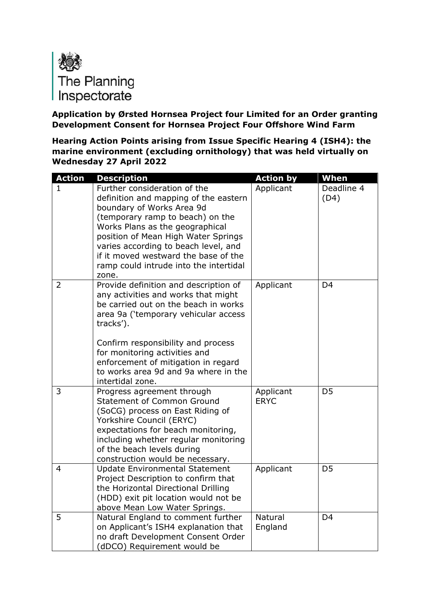

**Application by Ørsted Hornsea Project four Limited for an Order granting Development Consent for Hornsea Project Four Offshore Wind Farm**

**Hearing Action Points arising from Issue Specific Hearing 4 (ISH4): the marine environment (excluding ornithology) that was held virtually on Wednesday 27 April 2022**

| <b>Action</b>  | <b>Description</b>                                                                                                                                                                                                                                                                                                                                  | <b>Action by</b>         | When               |
|----------------|-----------------------------------------------------------------------------------------------------------------------------------------------------------------------------------------------------------------------------------------------------------------------------------------------------------------------------------------------------|--------------------------|--------------------|
| 1              | Further consideration of the<br>definition and mapping of the eastern<br>boundary of Works Area 9d<br>(temporary ramp to beach) on the<br>Works Plans as the geographical<br>position of Mean High Water Springs<br>varies according to beach level, and<br>if it moved westward the base of the<br>ramp could intrude into the intertidal<br>zone. | Applicant                | Deadline 4<br>(D4) |
| $\overline{2}$ | Provide definition and description of<br>any activities and works that might<br>be carried out on the beach in works<br>area 9a ('temporary vehicular access<br>tracks').<br>Confirm responsibility and process<br>for monitoring activities and<br>enforcement of mitigation in regard<br>to works area 9d and 9a where in the<br>intertidal zone. | Applicant                | D <sub>4</sub>     |
| 3              | Progress agreement through<br><b>Statement of Common Ground</b><br>(SoCG) process on East Riding of<br>Yorkshire Council (ERYC)<br>expectations for beach monitoring,<br>including whether regular monitoring<br>of the beach levels during<br>construction would be necessary.                                                                     | Applicant<br><b>ERYC</b> | D <sub>5</sub>     |
| $\overline{4}$ | <b>Update Environmental Statement</b><br>Project Description to confirm that<br>the Horizontal Directional Drilling<br>(HDD) exit pit location would not be<br>above Mean Low Water Springs.                                                                                                                                                        | Applicant                | D <sub>5</sub>     |
| 5              | Natural England to comment further<br>on Applicant's ISH4 explanation that<br>no draft Development Consent Order<br>(dDCO) Requirement would be                                                                                                                                                                                                     | Natural<br>England       | D <sub>4</sub>     |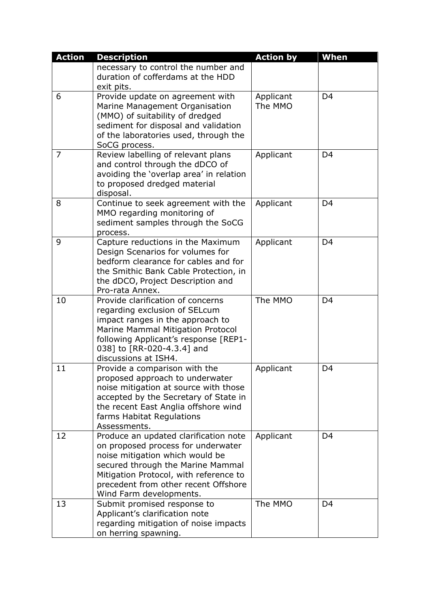| <b>Action</b>  | <b>Description</b>                                                                                                                                                                                                                                               | <b>Action by</b>     | When           |
|----------------|------------------------------------------------------------------------------------------------------------------------------------------------------------------------------------------------------------------------------------------------------------------|----------------------|----------------|
|                | necessary to control the number and<br>duration of cofferdams at the HDD<br>exit pits.                                                                                                                                                                           |                      |                |
| 6              | Provide update on agreement with<br>Marine Management Organisation<br>(MMO) of suitability of dredged<br>sediment for disposal and validation<br>of the laboratories used, through the<br>SoCG process.                                                          | Applicant<br>The MMO | D <sub>4</sub> |
| $\overline{7}$ | Review labelling of relevant plans<br>and control through the dDCO of<br>avoiding the 'overlap area' in relation<br>to proposed dredged material<br>disposal.                                                                                                    | Applicant            | D <sub>4</sub> |
| 8              | Continue to seek agreement with the<br>MMO regarding monitoring of<br>sediment samples through the SoCG<br>process.                                                                                                                                              | Applicant            | D <sub>4</sub> |
| 9              | Capture reductions in the Maximum<br>Design Scenarios for volumes for<br>bedform clearance for cables and for<br>the Smithic Bank Cable Protection, in<br>the dDCO, Project Description and<br>Pro-rata Annex.                                                   | Applicant            | D <sub>4</sub> |
| 10             | Provide clarification of concerns<br>regarding exclusion of SELcum<br>impact ranges in the approach to<br>Marine Mammal Mitigation Protocol<br>following Applicant's response [REP1-<br>038] to [RR-020-4.3.4] and<br>discussions at ISH4.                       | The MMO              | D <sub>4</sub> |
| 11             | Provide a comparison with the<br>proposed approach to underwater<br>noise mitigation at source with those<br>accepted by the Secretary of State in<br>the recent East Anglia offshore wind<br>farms Habitat Regulations<br>Assessments.                          | Applicant            | D <sub>4</sub> |
| 12             | Produce an updated clarification note<br>on proposed process for underwater<br>noise mitigation which would be<br>secured through the Marine Mammal<br>Mitigation Protocol, with reference to<br>precedent from other recent Offshore<br>Wind Farm developments. | Applicant            | D <sub>4</sub> |
| 13             | Submit promised response to<br>Applicant's clarification note<br>regarding mitigation of noise impacts<br>on herring spawning.                                                                                                                                   | The MMO              | D <sub>4</sub> |